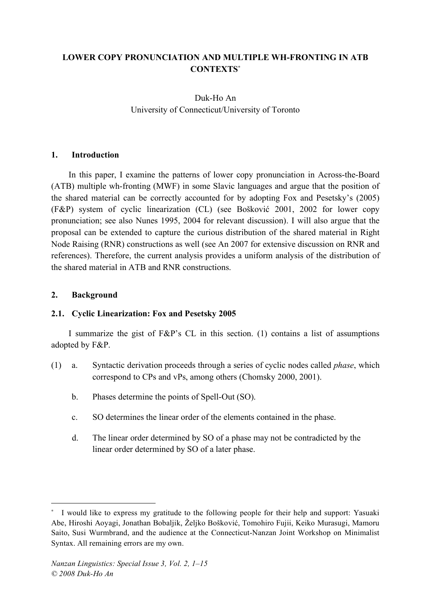# **LOWER COPY PRONUNCIATION AND MULTIPLE WH-FRONTING IN ATB CONTEXTS**<sup>∗</sup>

# Duk-Ho An University of Connecticut/University of Toronto

## **1. Introduction**

In this paper, I examine the patterns of lower copy pronunciation in Across-the-Board (ATB) multiple wh-fronting (MWF) in some Slavic languages and argue that the position of the shared material can be correctly accounted for by adopting Fox and Pesetsky's (2005) (F&P) system of cyclic linearization (CL) (see Bošković 2001, 2002 for lower copy pronunciation; see also Nunes 1995, 2004 for relevant discussion). I will also argue that the proposal can be extended to capture the curious distribution of the shared material in Right Node Raising (RNR) constructions as well (see An 2007 for extensive discussion on RNR and references). Therefore, the current analysis provides a uniform analysis of the distribution of the shared material in ATB and RNR constructions.

#### **2. Background**

<u>.</u>

## **2.1. Cyclic Linearization: Fox and Pesetsky 2005**

I summarize the gist of F&P's CL in this section. (1) contains a list of assumptions adopted by F&P.

- (1) a. Syntactic derivation proceeds through a series of cyclic nodes called *phase*, which correspond to CPs and vPs, among others (Chomsky 2000, 2001).
	- b. Phases determine the points of Spell-Out (SO).
	- c. SO determines the linear order of the elements contained in the phase.
	- d. The linear order determined by SO of a phase may not be contradicted by the linear order determined by SO of a later phase.

I would like to express my gratitude to the following people for their help and support: Yasuaki Abe, Hiroshi Aoyagi, Jonathan Bobaljik, Željko Bošković, Tomohiro Fujii, Keiko Murasugi, Mamoru Saito, Susi Wurmbrand, and the audience at the Connecticut-Nanzan Joint Workshop on Minimalist Syntax. All remaining errors are my own.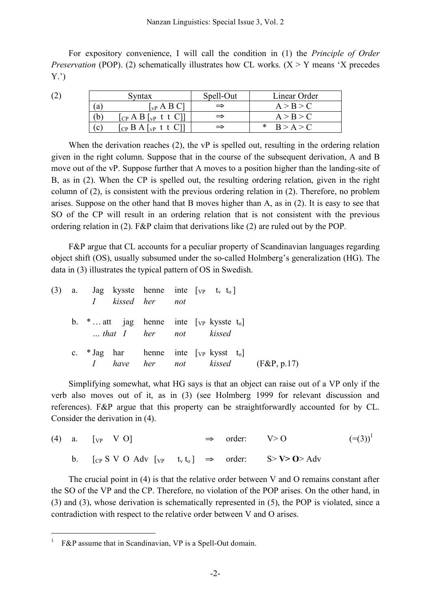For expository convenience, I will call the condition in (1) the *Principle of Order Preservation* (POP). (2) schematically illustrates how CL works.  $(X > Y$  means 'X precedes Y.')

(2)

|               | Syntax                                                                                        | Spell-Out | Linear Order |
|---------------|-----------------------------------------------------------------------------------------------|-----------|--------------|
| a             | $\lceil_{\text{vP}}\text{A}\text{B}\text{C}\rceil$                                            |           | A > B > C    |
|               | $\begin{bmatrix} CP & A & B & V & L \end{bmatrix}$                                            |           | A > B > C    |
| $\mathcal{C}$ | $\begin{bmatrix} CP & B & A \end{bmatrix}$ [ $\begin{bmatrix} VP & t & t & C \end{bmatrix}$ ] |           | B > A > C    |

When the derivation reaches (2), the vP is spelled out, resulting in the ordering relation given in the right column. Suppose that in the course of the subsequent derivation, A and B move out of the vP. Suppose further that A moves to a position higher than the landing-site of B, as in (2). When the CP is spelled out, the resulting ordering relation, given in the right column of (2), is consistent with the previous ordering relation in (2). Therefore, no problem arises. Suppose on the other hand that B moves higher than A, as in (2). It is easy to see that SO of the CP will result in an ordering relation that is not consistent with the previous ordering relation in (2). F&P claim that derivations like (2) are ruled out by the POP.

F&P argue that CL accounts for a peculiar property of Scandinavian languages regarding object shift (OS), usually subsumed under the so-called Holmberg's generalization (HG). The data in (3) illustrates the typical pattern of OS in Swedish.

|  | (3) a. Jag kysste henne inte $[vP]$ t <sub>v</sub> t <sub>o</sub><br>I kissed her not      |  |                                          |  |
|--|--------------------------------------------------------------------------------------------|--|------------------------------------------|--|
|  | b. $*$ att jag henne inte [ <sub>VP</sub> kysste t <sub>0</sub> ]<br>that I her not kissed |  |                                          |  |
|  |                                                                                            |  | <i>I</i> have her not kissed (F&P, p.17) |  |

Simplifying somewhat, what HG says is that an object can raise out of a VP only if the verb also moves out of it, as in (3) (see Holmberg 1999 for relevant discussion and references). F&P argue that this property can be straightforwardly accounted for by CL. Consider the derivation in (4).

|  | (4) a. $[\text{VP} \quad V \space O]$                                               |  | $\Rightarrow$ order: $V>0$ | $(=(3))^1$ |
|--|-------------------------------------------------------------------------------------|--|----------------------------|------------|
|  | b. [CP S V O Adv [vp t <sub>v</sub> t <sub>0</sub> ] $\Rightarrow$ order: S>V>O>Adv |  |                            |            |

The crucial point in (4) is that the relative order between V and O remains constant after the SO of the VP and the CP. Therefore, no violation of the POP arises. On the other hand, in (3) and (3), whose derivation is schematically represented in (5), the POP is violated, since a contradiction with respect to the relative order between V and O arises.

F&P assume that in Scandinavian, VP is a Spell-Out domain.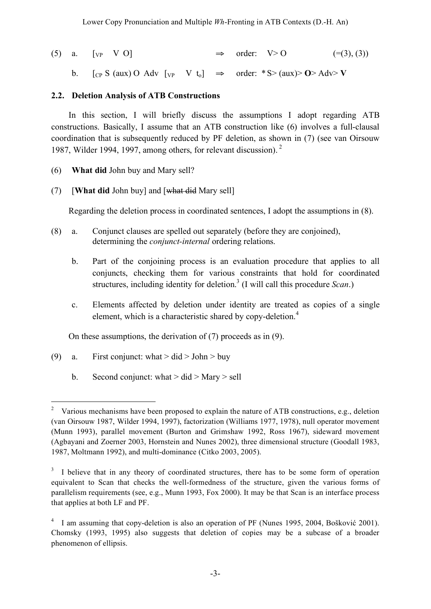(5) a.  $\lbrack v \rbrack v \rbrack$   $\Rightarrow$  order:  $V > 0$  (=(3), (3))

b.  $[\text{CP } S \text{ (aux) O} \text{ Adv } [\text{VP} \text{ V } t_0] \Rightarrow \text{order: } *S > (\text{aux}) > \text{O} > \text{Adv} > V$ 

## **2.2. Deletion Analysis of ATB Constructions**

In this section, I will briefly discuss the assumptions I adopt regarding ATB constructions. Basically, I assume that an ATB construction like (6) involves a full-clausal coordination that is subsequently reduced by PF deletion, as shown in (7) (see van Oirsouw 1987, Wilder 1994, 1997, among others, for relevant discussion). 2

- (6) **What did** John buy and Mary sell?
- (7) [**What did** John buy] and [what did Mary sell]

Regarding the deletion process in coordinated sentences, I adopt the assumptions in (8).

- (8) a. Conjunct clauses are spelled out separately (before they are conjoined), determining the *conjunct-internal* ordering relations.
	- b. Part of the conjoining process is an evaluation procedure that applies to all conjuncts, checking them for various constraints that hold for coordinated structures, including identity for deletion. <sup>3</sup> (I will call this procedure *Scan*.)
	- c. Elements affected by deletion under identity are treated as copies of a single element, which is a characteristic shared by copy-deletion.<sup>4</sup>

On these assumptions, the derivation of (7) proceeds as in (9).

- (9) a. First conjunct: what  $>$  did  $>$  John  $>$  buy
	- b. Second conjunct: what  $>$  did  $>$  Mary  $>$  sell

<sup>&</sup>lt;sup>2</sup> Various mechanisms have been proposed to explain the nature of ATB constructions, e.g., deletion (van Oirsouw 1987, Wilder 1994, 1997), factorization (Williams 1977, 1978), null operator movement (Munn 1993), parallel movement (Burton and Grimshaw 1992, Ross 1967), sideward movement (Agbayani and Zoerner 2003, Hornstein and Nunes 2002), three dimensional structure (Goodall 1983, 1987, Moltmann 1992), and multi-dominance (Citko 2003, 2005).

 $3\overline{ }$  I believe that in any theory of coordinated structures, there has to be some form of operation equivalent to Scan that checks the well-formedness of the structure, given the various forms of parallelism requirements (see, e.g., Munn 1993, Fox 2000). It may be that Scan is an interface process that applies at both LF and PF.

<sup>&</sup>lt;sup>4</sup> I am assuming that copy-deletion is also an operation of PF (Nunes 1995, 2004, Bošković 2001). Chomsky (1993, 1995) also suggests that deletion of copies may be a subcase of a broader phenomenon of ellipsis.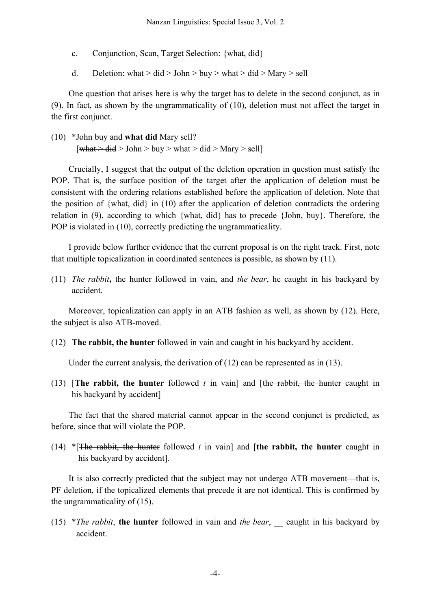- c. Conjunction, Scan, Target Selection: {what, did}
- d. Deletion: what > did > John > buy > what > did > Mary > sell

One question that arises here is why the target has to delete in the second conjunct, as in (9). In fact, as shown by the ungrammaticality of (10), deletion must not affect the target in the first conjunct.

(10) \*John buy and **what did** Mary sell?  $\lceil \frac{\text{what} \geq \text{did}}{\text{odd}} \rceil$  John  $> \text{buy} > \text{what} > \text{did} > \text{Mary} > \text{sell}$ 

Crucially, I suggest that the output of the deletion operation in question must satisfy the POP. That is, the surface position of the target after the application of deletion must be consistent with the ordering relations established before the application of deletion. Note that the position of {what, did} in (10) after the application of deletion contradicts the ordering relation in (9), according to which {what, did} has to precede {John, buy}. Therefore, the POP is violated in (10), correctly predicting the ungrammaticality.

I provide below further evidence that the current proposal is on the right track. First, note that multiple topicalization in coordinated sentences is possible, as shown by (11).

(11) *The rabbit***,** the hunter followed in vain, and *the bear*, he caught in his backyard by accident.

Moreover, topicalization can apply in an ATB fashion as well, as shown by (12). Here, the subject is also ATB-moved.

(12) **The rabbit, the hunter** followed in vain and caught in his backyard by accident.

Under the current analysis, the derivation of (12) can be represented as in (13).

(13) [**The rabbit, the hunter** followed *t* in vain] and [the rabbit, the hunter caught in his backyard by accident]

The fact that the shared material cannot appear in the second conjunct is predicted, as before, since that will violate the POP.

(14) \*[The rabbit, the hunter followed *t* in vain] and [**the rabbit, the hunter** caught in his backyard by accident].

It is also correctly predicted that the subject may not undergo ATB movement—that is, PF deletion, if the topicalized elements that precede it are not identical. This is confirmed by the ungrammaticality of (15).

(15) \**The rabbit*, **the hunter** followed in vain and *the bear*, \_\_ caught in his backyard by accident.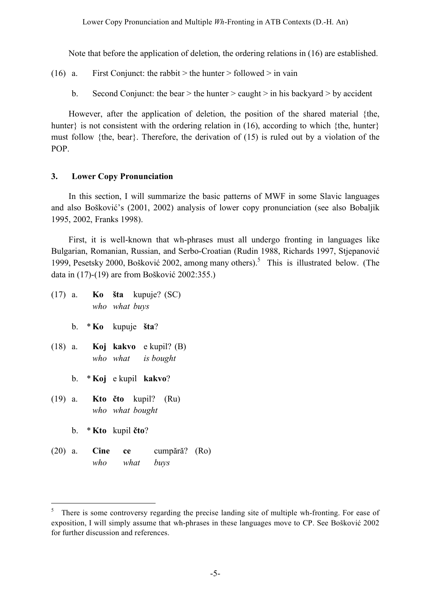Note that before the application of deletion, the ordering relations in (16) are established.

(16) a. First Conjunct: the rabbit > the hunter > followed > in vain

b. Second Conjunct: the bear  $>$  the hunter  $>$  caught  $>$  in his backyard  $>$  by accident

However, after the application of deletion, the position of the shared material {the, hunter} is not consistent with the ordering relation in (16), according to which {the, hunter} must follow {the, bear}. Therefore, the derivation of (15) is ruled out by a violation of the POP.

## **3. Lower Copy Pronunciation**

In this section, I will summarize the basic patterns of MWF in some Slavic languages and also Bošković's (2001, 2002) analysis of lower copy pronunciation (see also Bobaljik 1995, 2002, Franks 1998).

First, it is well-known that wh-phrases must all undergo fronting in languages like Bulgarian, Romanian, Russian, and Serbo-Croatian (Rudin 1988, Richards 1997, Stjepanović 1999, Pesetsky 2000, Bošković 2002, among many others). <sup>5</sup> This is illustrated below. (The data in (17)-(19) are from Bošković 2002:355.)

|  | who what buys          | $(17)$ a. <b>Ko</b> šta kupuje? (SC)                   |  |
|--|------------------------|--------------------------------------------------------|--|
|  | b. $*Ko$ kupuje šta?   |                                                        |  |
|  |                        | $(18)$ a. Koj kakvo e kupil? (B)<br>who what is bought |  |
|  | b. *Koj e kupil kakvo? |                                                        |  |
|  | who what bought        | $(19)$ a. <b>Kto čto</b> kupil? $(Ru)$                 |  |
|  | b. $*$ Kto kupil čto?  |                                                        |  |
|  | who what buys          | (20) a. <b>Cine ce</b> cumpără? (Ro)                   |  |

<sup>&</sup>lt;sup>5</sup> There is some controversy regarding the precise landing site of multiple wh-fronting. For ease of exposition, I will simply assume that wh-phrases in these languages move to CP. See Bošković 2002 for further discussion and references.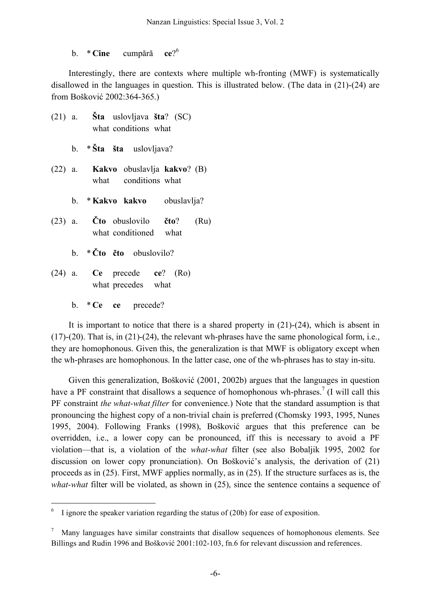#### b. \* **Cine** cumpără **ce**?  $ce<sup>26</sup>$

Interestingly, there are contexts where multiple wh-fronting (MWF) is systematically disallowed in the languages in question. This is illustrated below. (The data in (21)-(24) are from Bošković 2002:364-365.)

|  | $(21)$ a. Sta uslovljava šta? (SC)<br>what conditions what                          |  |
|--|-------------------------------------------------------------------------------------|--|
|  | b. $* \, \text{Sta}$ sta uslovljava?                                                |  |
|  | (22) a. <b>Kakvo</b> obuslavlja kakvo? (B)<br>what conditions what                  |  |
|  | b. * Kakvo kakvo obuslavlja?                                                        |  |
|  | $(23)$ a. $\check{C}$ to obuslovilo $\check{c}$ to? $(Ru)$<br>what conditioned what |  |
|  | b. $*\check{C}$ to čto obuslovilo?                                                  |  |
|  | $(24)$ a. Ce precede ce? $(Ro)$<br>what precedes what                               |  |
|  | b. * Ce ce precede?                                                                 |  |

It is important to notice that there is a shared property in (21)-(24), which is absent in  $(17)-(20)$ . That is, in  $(21)-(24)$ , the relevant wh-phrases have the same phonological form, i.e., they are homophonous. Given this, the generalization is that MWF is obligatory except when the wh-phrases are homophonous. In the latter case, one of the wh-phrases has to stay in-situ.

Given this generalization, Bošković (2001, 2002b) argues that the languages in question have a PF constraint that disallows a sequence of homophonous wh-phrases.<sup>7</sup> (I will call this PF constraint *the what-what filter* for convenience.) Note that the standard assumption is that pronouncing the highest copy of a non-trivial chain is preferred (Chomsky 1993, 1995, Nunes 1995, 2004). Following Franks (1998), Bošković argues that this preference can be overridden, i.e., a lower copy can be pronounced, iff this is necessary to avoid a PF violation—that is, a violation of the *what-what* filter (see also Bobaljik 1995, 2002 for discussion on lower copy pronunciation). On Bošković's analysis, the derivation of (21) proceeds as in (25). First, MWF applies normally, as in (25). If the structure surfaces as is, the *what-what* filter will be violated, as shown in (25), since the sentence contains a sequence of

I ignore the speaker variation regarding the status of (20b) for ease of exposition.

Many languages have similar constraints that disallow sequences of homophonous elements. See Billings and Rudin 1996 and Bošković 2001:102-103, fn.6 for relevant discussion and references.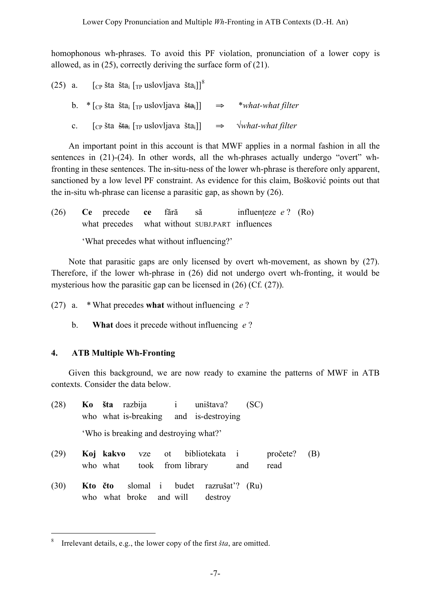homophonous wh-phrases. To avoid this PF violation, pronunciation of a lower copy is allowed, as in (25), correctly deriving the surface form of (21).

| $(25)$ a. |                | $\left[\begin{smallmatrix}C_{P} & \check{S} & \check{S} & \check{S} & \check{S} & \check{S} & \check{S} & \check{S} & \check{S} & \check{S} & \check{S} & \check{S} & \check{S} & \check{S} & \check{S} & \check{S} & \check{S} & \check{S} & \check{S} & \check{S} & \check{S} & \check{S} & \check{S} & \check{S} & \check{S} & \check{S} & \check{S} & \check{S} & \check{S} & \check{S} & \check{S} & \check{S} & \check{S} & \check{S} & \check{S} & \check{$ |  |                                                                                                                                            |
|-----------|----------------|--------------------------------------------------------------------------------------------------------------------------------------------------------------------------------------------------------------------------------------------------------------------------------------------------------------------------------------------------------------------------------------------------------------------------------------------------------------------|--|--------------------------------------------------------------------------------------------------------------------------------------------|
|           |                |                                                                                                                                                                                                                                                                                                                                                                                                                                                                    |  | b. $\ast$ [ <sub>CP</sub> sta sta <sub>i</sub> [ <sub>TP</sub> uslovljava sta <sub>i</sub> ]] $\Rightarrow$ $\ast$ <i>what-what filter</i> |
|           | $\mathbf{c}$ . | $\lceil_{\text{CP}}$ šta $\frac{\xi_1}{\xi_2}$ $\lceil_{\text{TP}}$ uslovljava šta <sub>i</sub> ]] $\Rightarrow$ $\forall$ <i>what-what filter</i>                                                                                                                                                                                                                                                                                                                 |  |                                                                                                                                            |

An important point in this account is that MWF applies in a normal fashion in all the sentences in (21)-(24). In other words, all the wh-phrases actually undergo "overt" whfronting in these sentences. The in-situ-ness of the lower wh-phrase is therefore only apparent, sanctioned by a low level PF constraint. As evidence for this claim, Bošković points out that the in-situ wh-phrase can license a parasitic gap, as shown by (26).

| (26) | Ce precede ce fără                              |  | $\overline{\mathbf{a}}$ and $\overline{\mathbf{a}}$ | influenteze $e$ ? (Ro) |  |
|------|-------------------------------------------------|--|-----------------------------------------------------|------------------------|--|
|      | what precedes what without SUBJ.PART influences |  |                                                     |                        |  |
|      | 'What precedes what without influencing?'       |  |                                                     |                        |  |

Note that parasitic gaps are only licensed by overt wh-movement, as shown by (27). Therefore, if the lower wh-phrase in (26) did not undergo overt wh-fronting, it would be mysterious how the parasitic gap can be licensed in (26) (Cf. (27)).

- (27) a. \* What precedes **what** without influencing *e* ?
	- b. **What** does it precede without influencing *e* ?

# **4. ATB Multiple Wh-Fronting**

Given this background, we are now ready to examine the patterns of MWF in ATB contexts. Consider the data below.

| (28) |         |           |                                           |  | Ko šta razbija i uništava?<br>who what is-breaking and is-destroying | (SC)           |                  |     |
|------|---------|-----------|-------------------------------------------|--|----------------------------------------------------------------------|----------------|------------------|-----|
|      |         |           | 'Who is breaking and destroying what?'    |  |                                                                      |                |                  |     |
| (29) |         | Koj kakvo | who what took from library                |  | vze ot bibliotekata i                                                | and            | pročete?<br>read | (B) |
| (30) | Kto čto |           | slomal i budet<br>who what broke and will |  | destroy                                                              | razrušat? (Ru) |                  |     |

 <sup>8</sup> Irrelevant details, e.g., the lower copy of the first *<sup>š</sup>ta*, are omitted.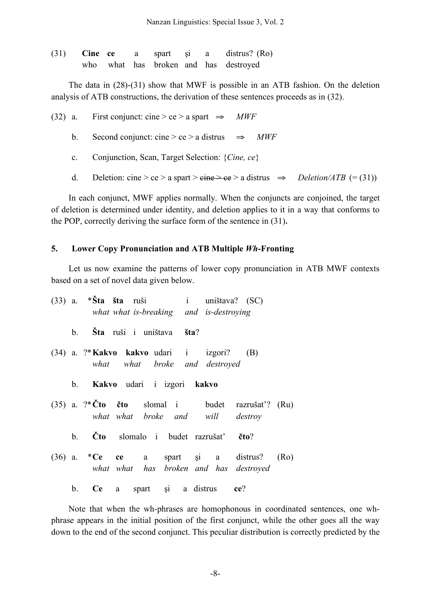|  |  |  | $(31)$ Cine ce a spart si a distrus? (Ro) |
|--|--|--|-------------------------------------------|
|  |  |  | who what has broken and has destroyed     |

The data in (28)-(31) show that MWF is possible in an ATB fashion. On the deletion analysis of ATB constructions, the derivation of these sentences proceeds as in (32).

(32) a. First conjunct: cine > ce > a spart  $\Rightarrow$  *MWF* 

b. Second conjunct: cine > ce > a distrus  $\Rightarrow$  *MWF* 

c. Conjunction, Scan, Target Selection: {*Cine, ce*}

d. Deletion: cine > ce > a spart >  $\overline{e}$  ine >  $\overline{e}$  > a distrus  $\Rightarrow$  *Deletion/ATB* (= (31))

In each conjunct, MWF applies normally. When the conjuncts are conjoined, the target of deletion is determined under identity, and deletion applies to it in a way that conforms to the POP, correctly deriving the surface form of the sentence in (31)**.**

#### **5. Lower Copy Pronunciation and ATB Multiple** *Wh***-Fronting**

Let us now examine the patterns of lower copy pronunciation in ATB MWF contexts based on a set of novel data given below.

|  | $(33)$ a. * <b>Šta šta</b> ruši i uništava? $(SC)$<br>what what is-breaking and is-destroying |
|--|-----------------------------------------------------------------------------------------------|
|  | b. Šta ruši i uništava šta?                                                                   |
|  | (34) a. ?* Kakvo kakvo udari i izgori? (B)<br>what what broke and destroyed                   |
|  | b. Kakvo udari i izgori kakvo                                                                 |
|  | $(35)$ a. ?* Čto čto slomal i budet razrušat? (Ru)<br>what what broke and will destroy        |
|  | b. Čto slomalo i budet razrušať čto?                                                          |
|  | $(36)$ a. ${}^*Ce$ ce a spart și a distrus? (Ro)<br>what what has broken and has destroyed    |
|  | b. Ce a spart și a distrus ce?                                                                |

Note that when the wh-phrases are homophonous in coordinated sentences, one whphrase appears in the initial position of the first conjunct, while the other goes all the way down to the end of the second conjunct. This peculiar distribution is correctly predicted by the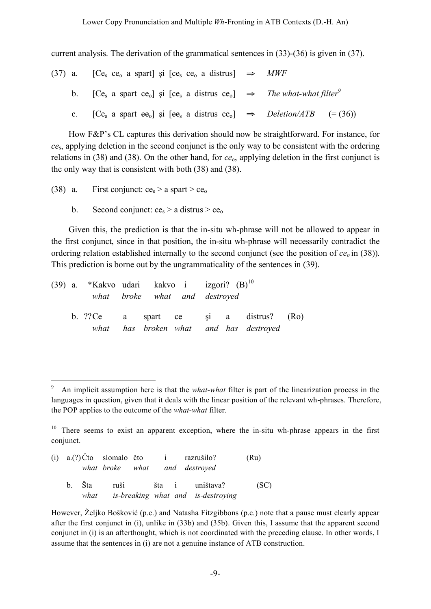#### Lower Copy Pronunciation and Multiple *Wh*-Fronting in ATB Contexts (D.-H. An)

current analysis. The derivation of the grammatical sentences in (33)-(36) is given in (37).

|  | (37) a. [Ce <sub>s</sub> ce <sub>o</sub> a spart] și [ce <sub>s</sub> ce <sub>o</sub> a distrus] $\Rightarrow$ <i>MWF</i>                            |  |
|--|------------------------------------------------------------------------------------------------------------------------------------------------------|--|
|  | b. [Ce <sub>s</sub> a spart ce <sub>o</sub> ] si [ce <sub>s</sub> a distrus ce <sub>o</sub> ] $\Rightarrow$ <i>The what-what filter</i> <sup>9</sup> |  |
|  | c. [Ce <sub>s</sub> a spart $ee_0$ ] și [ $ee_5$ a distrus $ce_0$ ] $\Rightarrow$ <i>Deletion/ATB</i> (= (36))                                       |  |

How F&P's CL captures this derivation should now be straightforward. For instance, for *ce*s, applying deletion in the second conjunct is the only way to be consistent with the ordering relations in (38) and (38). On the other hand, for *ce*o, applying deletion in the first conjunct is the only way that is consistent with both (38) and (38).

- (38) a. First conjunct:  $ce_s > a$  spart  $> ce_o$ 
	- b. Second conjunct:  $ce_s > a$  distrus  $> ce_o$

Given this, the prediction is that the in-situ wh-phrase will not be allowed to appear in the first conjunct, since in that position, the in-situ wh-phrase will necessarily contradict the ordering relation established internally to the second conjunct (see the position of  $ce<sub>o</sub>$  in (38)). This prediction is borne out by the ungrammaticality of the sentences in (39).

|  | (39) a. *Kakvo udari kakvo i izgori? $(B)$ <sup>10</sup> |                               |  |                                                                                 |  |
|--|----------------------------------------------------------|-------------------------------|--|---------------------------------------------------------------------------------|--|
|  |                                                          | what broke what and destroyed |  |                                                                                 |  |
|  |                                                          |                               |  | b. ??Ce a spart ce și a distrus? (Ro)<br>what has broken what and has destroyed |  |

 $10$  There seems to exist an apparent exception, where the in-situ wh-phrase appears in the first conjunct.

|  |  |  | (i) $a(?)\tilde{C}$ to slomalo čto i razrušilo?<br>what broke what and destroved | (Ru) |
|--|--|--|----------------------------------------------------------------------------------|------|
|  |  |  | b. Šta ruši šta i uništava?<br>what is-breaking what and is-destroying           | (SC) |

However, Željko Bošković (p.c.) and Natasha Fitzgibbons (p.c.) note that a pause must clearly appear after the first conjunct in (i), unlike in (33b) and (35b). Given this, I assume that the apparent second conjunct in (i) is an afterthought, which is not coordinated with the preceding clause. In other words, I assume that the sentences in (i) are not a genuine instance of ATB construction.

 <sup>9</sup> An implicit assumption here is that the *what-what* filter is part of the linearization process in the languages in question, given that it deals with the linear position of the relevant wh-phrases. Therefore, the POP applies to the outcome of the *what-what* filter.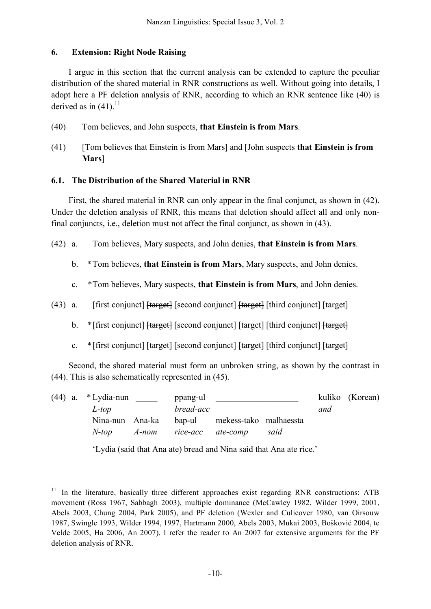## **6. Extension: Right Node Raising**

I argue in this section that the current analysis can be extended to capture the peculiar distribution of the shared material in RNR constructions as well. Without going into details, I adopt here a PF deletion analysis of RNR, according to which an RNR sentence like (40) is derived as in  $(41)$ .<sup>11</sup>

- (40) Tom believes, and John suspects, **that Einstein is from Mars**.
- (41) [Tom believes that Einstein is from Mars] and [John suspects **that Einstein is from Mars**]

## **6.1. The Distribution of the Shared Material in RNR**

First, the shared material in RNR can only appear in the final conjunct, as shown in (42). Under the deletion analysis of RNR, this means that deletion should affect all and only nonfinal conjuncts, i.e., deletion must not affect the final conjunct, as shown in (43).

- (42) a. Tom believes, Mary suspects, and John denies, **that Einstein is from Mars**.
	- b. \*Tom believes, **that Einstein is from Mars**, Mary suspects, and John denies.
	- c. \*Tom believes, Mary suspects, **that Einstein is from Mars**, and John denies.
- (43) a. [first conjunct] [target] [second conjunct] [target] [third conjunct] [target]
	- b. \* [first conjunct] [target] [second conjunct] [target] [third conjunct] [target]
	- c. \*[first conjunct] [target] [second conjunct] [target] [third conjunct] [target]

Second, the shared material must form an unbroken string, as shown by the contrast in (44). This is also schematically represented in (45).

|  |  | $(44)$ a. *Lydia-nun<br>L-top |  | ppang-ul<br>bread-acc   |                               | and  | kuliko (Korean) |  |
|--|--|-------------------------------|--|-------------------------|-------------------------------|------|-----------------|--|
|  |  | Nina-nun Ana-ka               |  |                         | bap-ul mekess-tako malhaessta |      |                 |  |
|  |  | $N$ -ton                      |  | A-nom rice-acc ate-comp |                               | said |                 |  |

'Lydia (said that Ana ate) bread and Nina said that Ana ate rice.'

<sup>&</sup>lt;sup>11</sup> In the literature, basically three different approaches exist regarding RNR constructions: ATB movement (Ross 1967, Sabbagh 2003), multiple dominance (McCawley 1982, Wilder 1999, 2001, Abels 2003, Chung 2004, Park 2005), and PF deletion (Wexler and Culicover 1980, van Oirsouw 1987, Swingle 1993, Wilder 1994, 1997, Hartmann 2000, Abels 2003, Mukai 2003, Bošković 2004, te Velde 2005, Ha 2006, An 2007). I refer the reader to An 2007 for extensive arguments for the PF deletion analysis of RNR.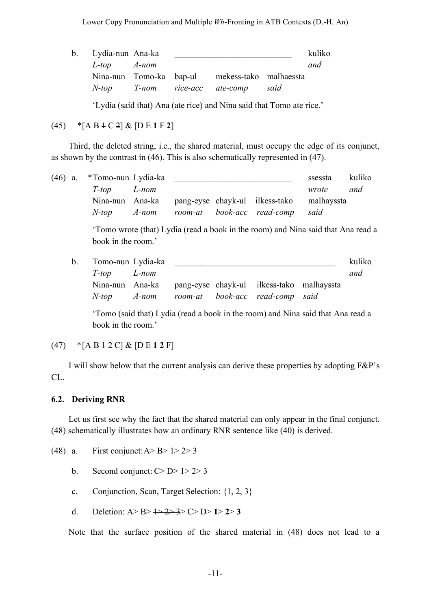| b. Lydia-nun Ana-ka |  |                                                |      | kuliko |
|---------------------|--|------------------------------------------------|------|--------|
| $L$ -top $A$ -nom   |  |                                                |      | and    |
|                     |  | Nina-nun Tomo-ka bap-ul mekess-tako malhaessta |      |        |
|                     |  | N-top T-nom rice-acc ate-comp                  | said |        |
|                     |  |                                                |      |        |

'Lydia (said that) Ana (ate rice) and Nina said that Tomo ate rice.'

## (45) \*[A B 1 C 2] & [D E **1** F **2**]

Third, the deleted string, i.e., the shared material, must occupy the edge of its conjunct, as shown by the contrast in (46). This is also schematically represented in (47).

|  |  | (46) a. *Tomo-nun Lydia-ka |  |                                                           | ssessta | kuliko |
|--|--|----------------------------|--|-----------------------------------------------------------|---------|--------|
|  |  | T-top L-nom                |  |                                                           | wrote   | and    |
|  |  |                            |  | Nina-nun Ana-ka pang-eyse chayk-ul ilkess-tako malhayssta |         |        |
|  |  |                            |  | N-top A-nom room-at book-acc read-comp                    | said    |        |

'Tomo wrote (that) Lydia (read a book in the room) and Nina said that Ana read a book in the room.'

| b. Tomo-nun Lydia-ka |  |                                                           | kuliko |
|----------------------|--|-----------------------------------------------------------|--------|
| T-top L-nom          |  |                                                           | and    |
|                      |  | Nina-nun Ana-ka pang-eyse chayk-ul ilkess-tako malhayssta |        |
|                      |  | N-top A-nom room-at book-acc read-comp said               |        |

'Tomo (said that) Lydia (read a book in the room) and Nina said that Ana read a book in the room.'

# $(47)$  \*[A B  $\pm$  2 C] & [D E 1 2 F]

I will show below that the current analysis can derive these properties by adopting F&P's CL.

## **6.2. Deriving RNR**

Let us first see why the fact that the shared material can only appear in the final conjunct. (48) schematically illustrates how an ordinary RNR sentence like (40) is derived.

- (48) a. First conjunct:  $A > B > 1 > 2 > 3$ 
	- b. Second conjunct:  $C > D > 1 > 2 > 3$
	- c. Conjunction, Scan, Target Selection: {1, 2, 3}
	- d. Deletion: A> B> 1> 2> 3> C> D> **1**> **2**> **3**

Note that the surface position of the shared material in (48) does not lead to a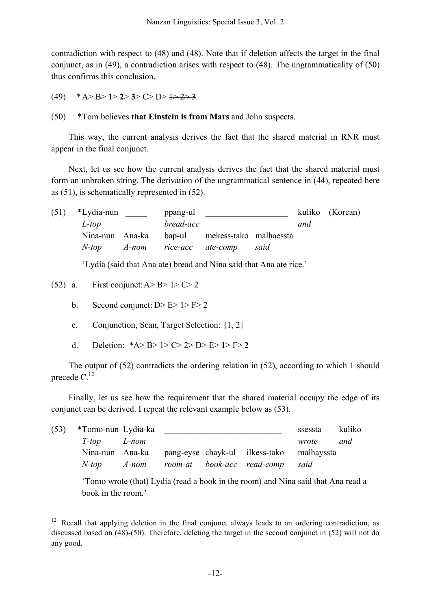contradiction with respect to (48) and (48). Note that if deletion affects the target in the final conjunct, as in (49), a contradiction arises with respect to (48). The ungrammaticality of (50) thus confirms this conclusion.

- (49) \*A> B> **1**> **2**> **3**> C> D> 1> 2> 3
- (50) \*Tom believes **that Einstein is from Mars** and John suspects.

This way, the current analysis derives the fact that the shared material in RNR must appear in the final conjunct.

Next, let us see how the current analysis derives the fact that the shared material must form an unbroken string. The derivation of the ungrammatical sentence in (44), repeated here as (51), is schematically represented in (52).

(51) \*Lydia-nun *ppang-ul* <u>\_\_\_\_\_\_\_\_\_\_\_\_\_\_\_\_\_</u> kuliko (Korean) *L-top bread-acc and* Nina-nun Ana-ka bap-ul mekess-tako malhaessta *N-top A-nom rice-acc ate-comp said*

'Lydia (said that Ana ate) bread and Nina said that Ana ate rice.'

- (52) a. First conjunct:  $A > B > 1 > C > 2$ 
	- b. Second conjunct:  $D > E > 1 > F > 2$
	- c. Conjunction, Scan, Target Selection: {1, 2}
	- d. Deletion: \*A> B> 1> C> 2> D> E> **1**> F> **2**

The output of (52) contradicts the ordering relation in (52), according to which 1 should precede C.<sup>12</sup>

Finally, let us see how the requirement that the shared material occupy the edge of its conjunct can be derived. I repeat the relevant example below as (53).

| (53) | *Tomo-nun Lydia-ka |  |                                                           | ssessta | kuliko |
|------|--------------------|--|-----------------------------------------------------------|---------|--------|
|      | T-top L-nom        |  |                                                           | wrote   | and    |
|      |                    |  | Nina-nun Ana-ka pang-eyse chayk-ul ilkess-tako malhayssta |         |        |
|      | $N$ -top $A$ -nom  |  | room-at book-acc read-comp                                | said    |        |

'Tomo wrote (that) Lydia (read a book in the room) and Nina said that Ana read a book in the room.'

<sup>&</sup>lt;sup>12</sup> Recall that applying deletion in the final conjunct always leads to an ordering contradiction, as discussed based on (48)-(50). Therefore, deleting the target in the second conjunct in (52) will not do any good.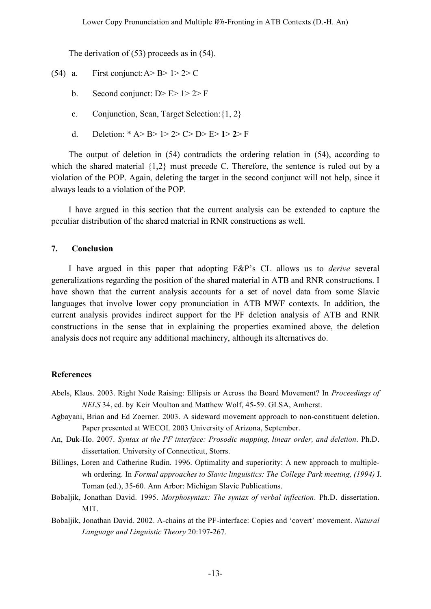The derivation of (53) proceeds as in (54).

- (54) a. First conjunct:  $A > B > 1 > 2 > C$ 
	- b. Second conjunct:  $D > E > 1 > 2 > F$
	- c. Conjunction, Scan, Target Selection:{1, 2}
	- d. Deletion: \* A> B> 1> 2> C> D> E> **1**> **2**> F

The output of deletion in (54) contradicts the ordering relation in (54), according to which the shared material {1,2} must precede C. Therefore, the sentence is ruled out by a violation of the POP. Again, deleting the target in the second conjunct will not help, since it always leads to a violation of the POP.

I have argued in this section that the current analysis can be extended to capture the peculiar distribution of the shared material in RNR constructions as well.

#### **7. Conclusion**

I have argued in this paper that adopting F&P's CL allows us to *derive* several generalizations regarding the position of the shared material in ATB and RNR constructions. I have shown that the current analysis accounts for a set of novel data from some Slavic languages that involve lower copy pronunciation in ATB MWF contexts. In addition, the current analysis provides indirect support for the PF deletion analysis of ATB and RNR constructions in the sense that in explaining the properties examined above, the deletion analysis does not require any additional machinery, although its alternatives do.

#### **References**

- Abels, Klaus. 2003. Right Node Raising: Ellipsis or Across the Board Movement? In *Proceedings of NELS* 34, ed. by Keir Moulton and Matthew Wolf, 45-59. GLSA, Amherst.
- Agbayani, Brian and Ed Zoerner. 2003. A sideward movement approach to non-constituent deletion. Paper presented at WECOL 2003 University of Arizona, September.
- An, Duk-Ho. 2007. *Syntax at the PF interface: Prosodic mapping, linear order, and deletion*. Ph.D. dissertation. University of Connecticut, Storrs.
- Billings, Loren and Catherine Rudin. 1996. Optimality and superiority: A new approach to multiplewh ordering. In *Formal approaches to Slavic linguistics: The College Park meeting, (1994)* J. Toman (ed.), 35-60. Ann Arbor: Michigan Slavic Publications.
- Bobaljik, Jonathan David. 1995. *Morphosyntax: The syntax of verbal inflection*. Ph.D. dissertation. MIT.
- Bobaljik, Jonathan David. 2002. A-chains at the PF-interface: Copies and 'covert' movement. *Natural Language and Linguistic Theory* 20:197-267.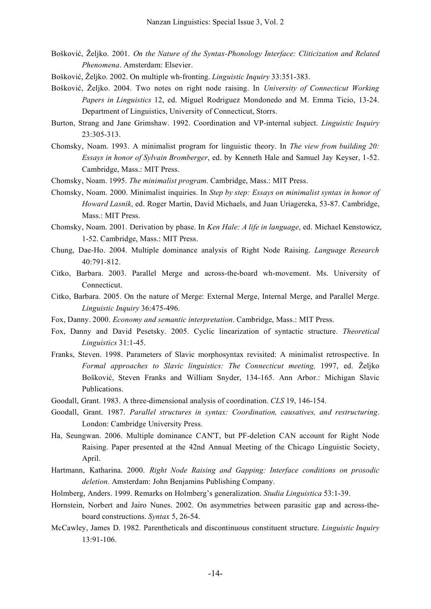- Bošković, Željko. 2001. *On the Nature of the Syntax-Phonology Interface: Cliticization and Related Phenomena*. Amsterdam: Elsevier.
- Bošković, Željko. 2002. On multiple wh-fronting. *Linguistic Inquiry* 33:351-383.
- Bošković, Željko. 2004. Two notes on right node raising. In *University of Connecticut Working Papers in Linguistics* 12, ed. Miguel Rodriguez Mondonedo and M. Emma Ticio, 13-24. Department of Linguistics, University of Connecticut, Storrs.
- Burton, Strang and Jane Grimshaw. 1992. Coordination and VP-internal subject. *Linguistic Inquiry* 23:305-313.
- Chomsky, Noam. 1993. A minimalist program for linguistic theory. In *The view from building 20: Essays in honor of Sylvain Bromberger*, ed. by Kenneth Hale and Samuel Jay Keyser, 1-52. Cambridge, Mass.: MIT Press.
- Chomsky, Noam. 1995. *The minimalist program*. Cambridge, Mass.: MIT Press.
- Chomsky, Noam. 2000. Minimalist inquiries. In *Step by step: Essays on minimalist syntax in honor of Howard Lasnik*, ed. Roger Martin, David Michaels, and Juan Uriagereka, 53-87. Cambridge, Mass.: MIT Press.
- Chomsky, Noam. 2001. Derivation by phase. In *Ken Hale: A life in language*, ed. Michael Kenstowicz, 1-52. Cambridge, Mass.: MIT Press.
- Chung, Dae-Ho. 2004. Multiple dominance analysis of Right Node Raising. *Language Research* 40:791-812.
- Citko, Barbara. 2003. Parallel Merge and across-the-board wh-movement. Ms. University of Connecticut.
- Citko, Barbara. 2005. On the nature of Merge: External Merge, Internal Merge, and Parallel Merge. *Linguistic Inquiry* 36:475-496.
- Fox, Danny. 2000. *Economy and semantic interpretation*. Cambridge, Mass.: MIT Press.
- Fox, Danny and David Pesetsky. 2005. Cyclic linearization of syntactic structure. *Theoretical Linguistics* 31:1-45.
- Franks, Steven. 1998. Parameters of Slavic morphosyntax revisited: A minimalist retrospective. In *Formal approaches to Slavic linguistics: The Connecticut meeting,* 1997, ed. Željko Bošković, Steven Franks and William Snyder, 134-165. Ann Arbor.: Michigan Slavic Publications.
- Goodall, Grant. 1983. A three-dimensional analysis of coordination. *CLS* 19, 146-154.
- Goodall, Grant. 1987. *Parallel structures in syntax: Coordination, causatives, and restructuring*. London: Cambridge University Press.
- Ha, Seungwan. 2006. Multiple dominance CAN'T, but PF-deletion CAN account for Right Node Raising. Paper presented at the 42nd Annual Meeting of the Chicago Linguistic Society, April.
- Hartmann, Katharina. 2000. *Right Node Raising and Gapping: Interface conditions on prosodic deletion*. Amsterdam: John Benjamins Publishing Company.
- Holmberg, Anders. 1999. Remarks on Holmberg's generalization. *Studia Linguistica* 53:1-39.
- Hornstein, Norbert and Jairo Nunes. 2002. On asymmetries between parasitic gap and across-theboard constructions. *Syntax* 5, 26-54.
- McCawley, James D. 1982. Parentheticals and discontinuous constituent structure. *Linguistic Inquiry* 13:91-106.